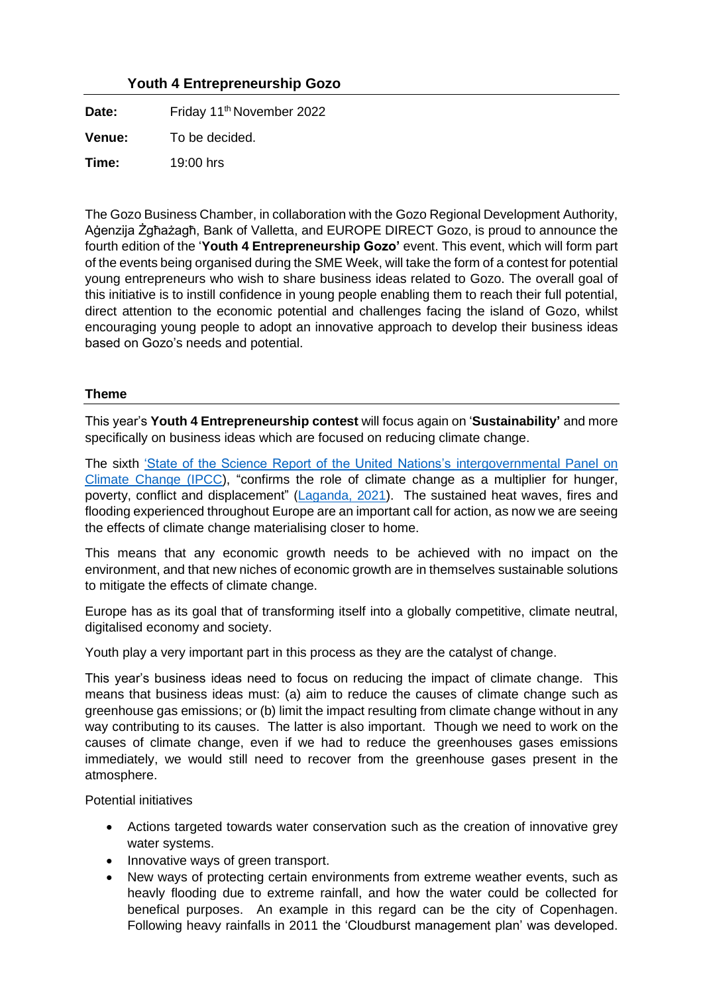# **Youth 4 Entrepreneurship Gozo**

Date: Friday 11<sup>th</sup> November 2022 **Venue:** To be decided.

**Time:** 19:00 hrs

The Gozo Business Chamber, in collaboration with the Gozo Regional Development Authority, Aġenzija Żgħażagħ, Bank of Valletta, and EUROPE DIRECT Gozo, is proud to announce the fourth edition of the '**Youth 4 Entrepreneurship Gozo'** event. This event, which will form part of the events being organised during the SME Week, will take the form of a contest for potential young entrepreneurs who wish to share business ideas related to Gozo. The overall goal of this initiative is to instill confidence in young people enabling them to reach their full potential, direct attention to the economic potential and challenges facing the island of Gozo, whilst encouraging young people to adopt an innovative approach to develop their business ideas based on Gozo's needs and potential.

### **Theme**

This year's **Youth 4 Entrepreneurship contest** will focus again on '**Sustainability'** and more specifically on business ideas which are focused on reducing climate change.

The sixth ['State of the Science Report of the United Nations's intergovernmental Panel on](https://www.ipcc.ch/2021/08/09/ar6-wg1-20210809-pr/)  [Climate Change \(IPCC\)](https://www.ipcc.ch/2021/08/09/ar6-wg1-20210809-pr/), "confirms the role of climate change as a multiplier for hunger, poverty, conflict and displacement" [\(Laganda, 2021\)](https://www.wfp.org/stories/opinion-why-un-s-code-red-climate-change-warning-already-reality-many). The sustained heat waves, fires and flooding experienced throughout Europe are an important call for action, as now we are seeing the effects of climate change materialising closer to home.

This means that any economic growth needs to be achieved with no impact on the environment, and that new niches of economic growth are in themselves sustainable solutions to mitigate the effects of climate change.

Europe has as its goal that of transforming itself into a globally competitive, climate neutral, digitalised economy and society.

Youth play a very important part in this process as they are the catalyst of change.

This year's business ideas need to focus on reducing the impact of climate change. This means that business ideas must: (a) aim to reduce the causes of climate change such as greenhouse gas emissions; or (b) limit the impact resulting from climate change without in any way contributing to its causes. The latter is also important. Though we need to work on the causes of climate change, even if we had to reduce the greenhouses gases emissions immediately, we would still need to recover from the greenhouse gases present in the atmosphere.

Potential initiatives

- Actions targeted towards water conservation such as the creation of innovative grey water systems.
- Innovative ways of green transport.
- New ways of protecting certain environments from extreme weather events, such as heavly flooding due to extreme rainfall, and how the water could be collected for benefical purposes. An example in this regard can be the city of Copenhagen. Following heavy rainfalls in 2011 the 'Cloudburst management plan' was developed.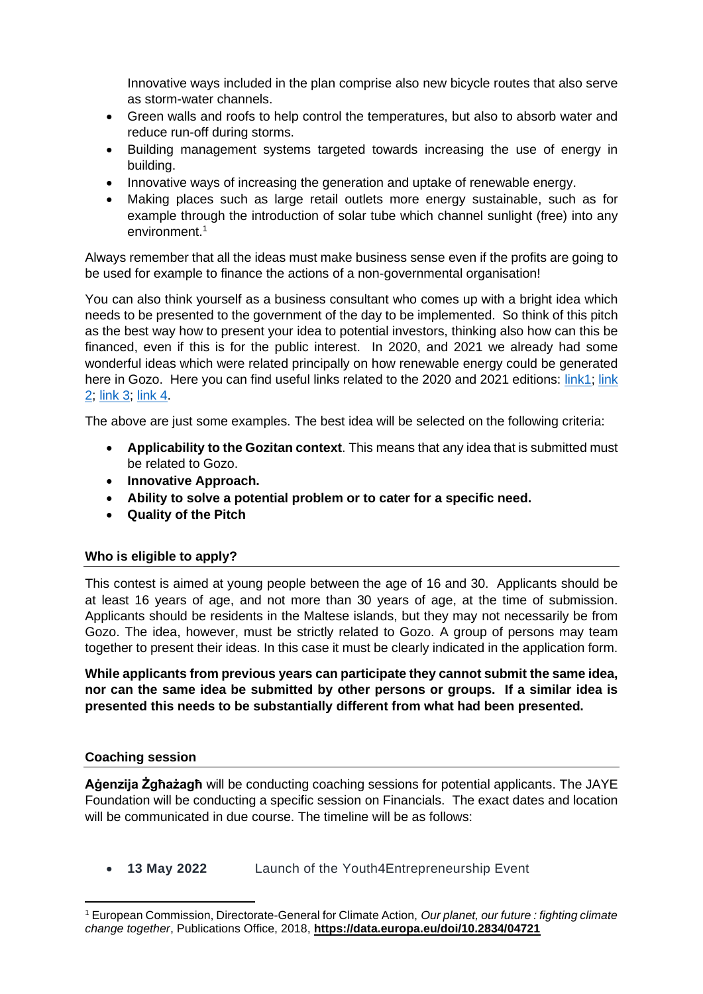Innovative ways included in the plan comprise also new bicycle routes that also serve as storm-water channels.

- Green walls and roofs to help control the temperatures, but also to absorb water and reduce run-off during storms.
- Building management systems targeted towards increasing the use of energy in building.
- Innovative ways of increasing the generation and uptake of renewable energy.
- Making places such as large retail outlets more energy sustainable, such as for example through the introduction of solar tube which channel sunlight (free) into any environment.<sup>1</sup>

Always remember that all the ideas must make business sense even if the profits are going to be used for example to finance the actions of a non-governmental organisation!

You can also think yourself as a business consultant who comes up with a bright idea which needs to be presented to the government of the day to be implemented. So think of this pitch as the best way how to present your idea to potential investors, thinking also how can this be financed, even if this is for the public interest. In 2020, and 2021 we already had some wonderful ideas which were related principally on how renewable energy could be generated here in Gozo. Here you can find useful links related to the 2020 and 2021 editions: [link1;](https://www.youtube.com/watch?v=xEnzgZV1rrQ&t=36s) link [2;](https://www.youtube.com/watch?v=YSeevlBfzQg&t=339s) [link 3;](https://www.youtube.com/watch?v=W1YVsp2zCPY&t=2503s) [link 4.](https://www.youtube.com/watch?v=zWmyk3JVTFQ&t=6s)

The above are just some examples. The best idea will be selected on the following criteria:

- **Applicability to the Gozitan context**. This means that any idea that is submitted must be related to Gozo.
- **Innovative Approach.**
- **Ability to solve a potential problem or to cater for a specific need.**
- **Quality of the Pitch**

## **Who is eligible to apply?**

This contest is aimed at young people between the age of 16 and 30. Applicants should be at least 16 years of age, and not more than 30 years of age, at the time of submission. Applicants should be residents in the Maltese islands, but they may not necessarily be from Gozo. The idea, however, must be strictly related to Gozo. A group of persons may team together to present their ideas. In this case it must be clearly indicated in the application form.

**While applicants from previous years can participate they cannot submit the same idea, nor can the same idea be submitted by other persons or groups. If a similar idea is presented this needs to be substantially different from what had been presented.**

### **Coaching session**

**Aġenzija Żgħażagħ** will be conducting coaching sessions for potential applicants. The JAYE Foundation will be conducting a specific session on Financials. The exact dates and location will be communicated in due course. The timeline will be as follows:

• **13 May 2022** Launch of the Youth4Entrepreneurship Event

<sup>1</sup> European Commission, Directorate-General for Climate Action, *Our planet, our future : fighting climate change together*, Publications Office, 2018, **<https://data.europa.eu/doi/10.2834/04721>**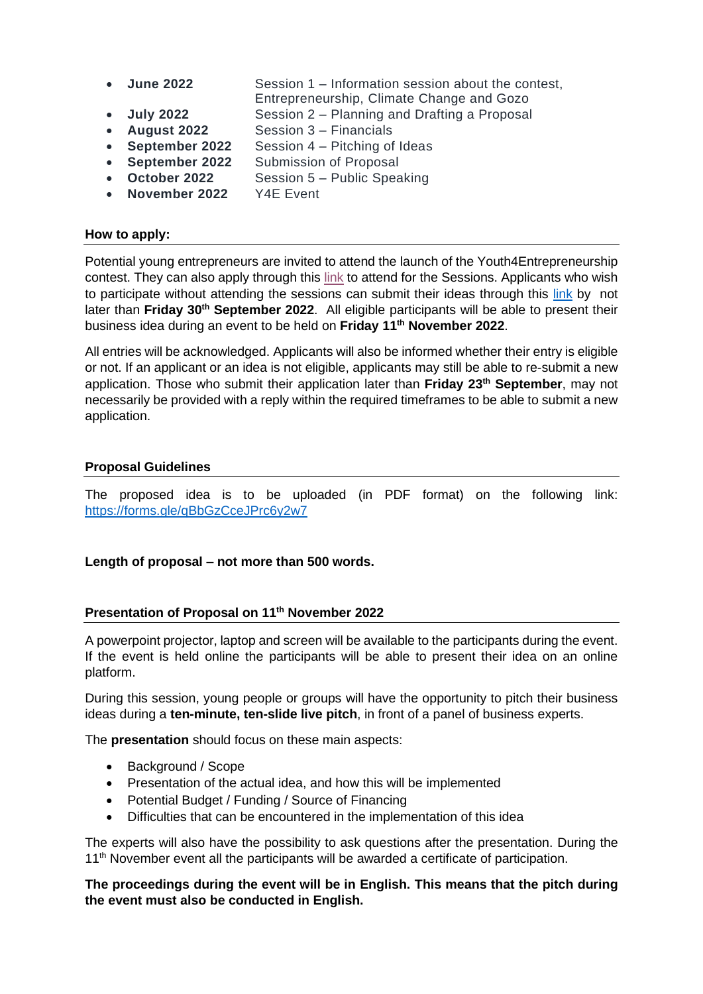- **June 2022** Session 1 Information session about the contest,
	- Entrepreneurship, Climate Change and Gozo
- **July 2022** Session 2 Planning and Drafting a Proposal
- **August 2022** Session 3 Financials
- **September 2022** Session 4 Pitching of Ideas
- **September 2022** Submission of Proposal
- **October 2022** Session 5 Public Speaking
- **November 2022** Y4E Event

### **How to apply:**

Potential young entrepreneurs are invited to attend the launch of the Youth4Entrepreneurship contest. They can also apply through this [link](https://forms.gle/AzKbLMKxxFXn69Gx9) to attend for the Sessions. Applicants who wish to participate without attending the sessions can submit their ideas through this [link](https://forms.gle/qBbGzCceJPrc6y2w7) by not later than **Friday 30th September 2022**. All eligible participants will be able to present their business idea during an event to be held on **Friday 11 th November 2022**.

All entries will be acknowledged. Applicants will also be informed whether their entry is eligible or not. If an applicant or an idea is not eligible, applicants may still be able to re-submit a new application. Those who submit their application later than **Friday 23 th September**, may not necessarily be provided with a reply within the required timeframes to be able to submit a new application.

### **Proposal Guidelines**

The proposed idea is to be uploaded (in PDF format) on the following link: <https://forms.gle/qBbGzCceJPrc6y2w7>

### **Length of proposal – not more than 500 words.**

### **Presentation of Proposal on 11 th November 2022**

A powerpoint projector, laptop and screen will be available to the participants during the event. If the event is held online the participants will be able to present their idea on an online platform.

During this session, young people or groups will have the opportunity to pitch their business ideas during a **ten-minute, ten-slide live pitch**, in front of a panel of business experts.

The **presentation** should focus on these main aspects:

- Background / Scope
- Presentation of the actual idea, and how this will be implemented
- Potential Budget / Funding / Source of Financing
- Difficulties that can be encountered in the implementation of this idea

The experts will also have the possibility to ask questions after the presentation. During the 11<sup>th</sup> November event all the participants will be awarded a certificate of participation.

**The proceedings during the event will be in English. This means that the pitch during the event must also be conducted in English.**